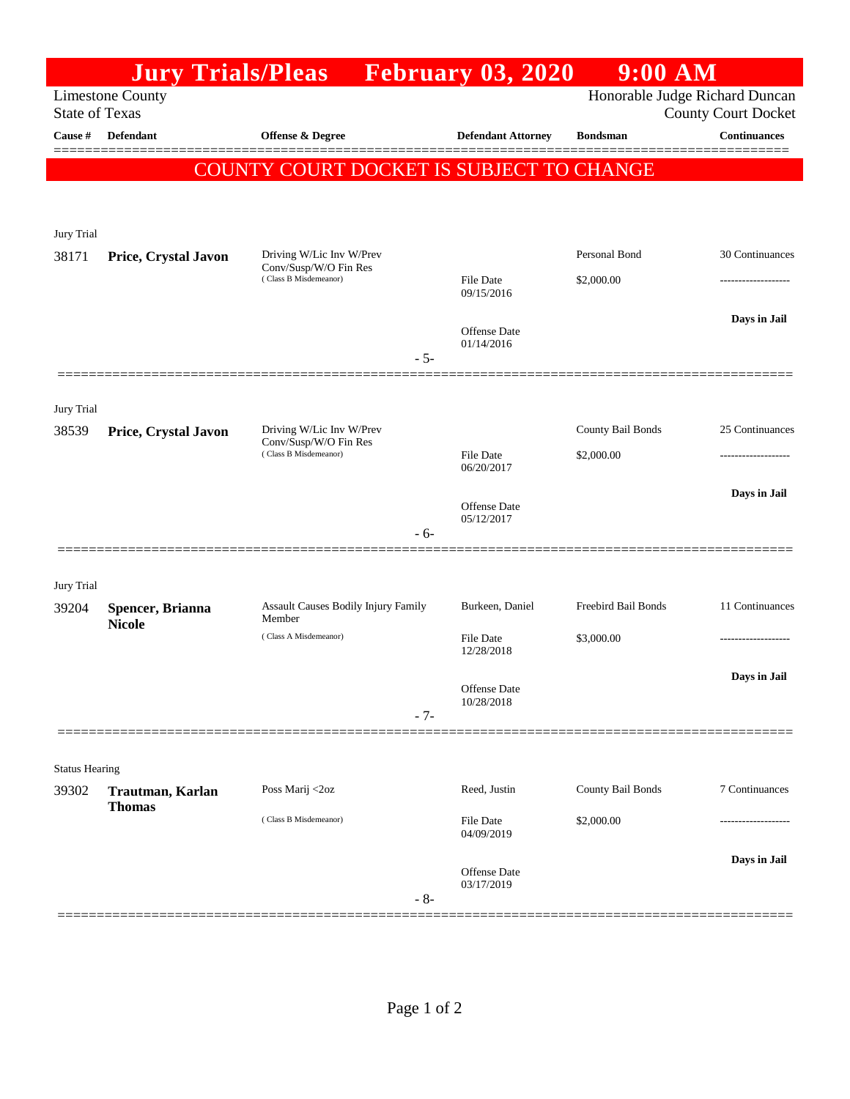|                                                                                                                  | <b>Jury Trials/Pleas</b>          |                                                   |       | <b>February 03, 2020</b>          | $9:00$ AM           |                     |
|------------------------------------------------------------------------------------------------------------------|-----------------------------------|---------------------------------------------------|-------|-----------------------------------|---------------------|---------------------|
| Honorable Judge Richard Duncan<br><b>Limestone County</b><br><b>State of Texas</b><br><b>County Court Docket</b> |                                   |                                                   |       |                                   |                     |                     |
| Cause #                                                                                                          | Defendant                         | <b>Offense &amp; Degree</b>                       |       | <b>Defendant Attorney</b>         | <b>Bondsman</b>     | <b>Continuances</b> |
|                                                                                                                  |                                   | COUNTY COURT DOCKET IS SUBJECT TO CHANGE          |       |                                   |                     |                     |
| Jury Trial                                                                                                       |                                   |                                                   |       |                                   |                     |                     |
| 38171                                                                                                            | Price, Crystal Javon              | Driving W/Lic Inv W/Prev<br>Conv/Susp/W/O Fin Res |       |                                   | Personal Bond       | 30 Continuances     |
|                                                                                                                  |                                   | (Class B Misdemeanor)                             |       | <b>File Date</b><br>09/15/2016    | \$2,000.00          |                     |
|                                                                                                                  |                                   |                                                   | $-5-$ | <b>Offense</b> Date<br>01/14/2016 |                     | Days in Jail        |
| Jury Trial                                                                                                       |                                   |                                                   |       |                                   |                     |                     |
| 38539                                                                                                            | Price, Crystal Javon              | Driving W/Lic Inv W/Prev<br>Conv/Susp/W/O Fin Res |       |                                   | County Bail Bonds   | 25 Continuances     |
|                                                                                                                  |                                   | (Class B Misdemeanor)                             |       | <b>File Date</b><br>06/20/2017    | \$2,000.00          |                     |
|                                                                                                                  |                                   |                                                   |       |                                   |                     | Days in Jail        |
|                                                                                                                  |                                   |                                                   | - 6-  | <b>Offense</b> Date<br>05/12/2017 |                     |                     |
| Jury Trial                                                                                                       |                                   |                                                   |       |                                   |                     |                     |
| 39204                                                                                                            | Spencer, Brianna<br><b>Nicole</b> | Assault Causes Bodily Injury Family<br>Member     |       | Burkeen, Daniel                   | Freebird Bail Bonds | 11 Continuances     |
|                                                                                                                  |                                   | (Class A Misdemeanor)                             |       | <b>File Date</b><br>12/28/2018    | \$3,000.00          | .                   |
|                                                                                                                  |                                   |                                                   | $-7-$ | Offense Date<br>10/28/2018        |                     | Days in Jail        |
|                                                                                                                  |                                   |                                                   |       |                                   |                     |                     |
| <b>Status Hearing</b><br>39302                                                                                   | Trautman, Karlan                  | Poss Marij <2oz                                   |       | Reed, Justin                      | County Bail Bonds   | 7 Continuances      |
|                                                                                                                  | <b>Thomas</b>                     | (Class B Misdemeanor)                             |       | <b>File Date</b><br>04/09/2019    | \$2,000.00          |                     |
|                                                                                                                  |                                   |                                                   | $-8-$ | Offense Date<br>03/17/2019        |                     | Days in Jail        |